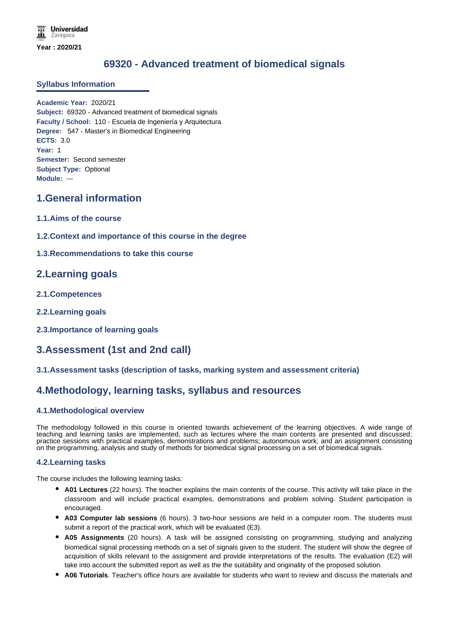# **69320 - Advanced treatment of biomedical signals**

### **Syllabus Information**

**Academic Year:** 2020/21 **Subject:** 69320 - Advanced treatment of biomedical signals **Faculty / School:** 110 - Escuela de Ingeniería y Arquitectura **Degree:** 547 - Master's in Biomedical Engineering **ECTS:** 3.0 **Year:** 1 **Semester:** Second semester **Subject Type:** Optional **Module:** ---

## **1.General information**

- **1.1.Aims of the course**
- **1.2.Context and importance of this course in the degree**
- **1.3.Recommendations to take this course**

## **2.Learning goals**

- **2.1.Competences**
- **2.2.Learning goals**
- **2.3.Importance of learning goals**

## **3.Assessment (1st and 2nd call)**

### **3.1.Assessment tasks (description of tasks, marking system and assessment criteria)**

## **4.Methodology, learning tasks, syllabus and resources**

### **4.1.Methodological overview**

The methodology followed in this course is oriented towards achievement of the learning objectives. A wide range of teaching and learning tasks are implemented, such as lectures where the main contents are presented and discussed; practice sessions with practical examples, demonstrations and problems; autonomous work; and an assignment consisting on the programming, analysis and study of methods for biomedical signal processing on a set of biomedical signals.

### **4.2.Learning tasks**

The course includes the following learning tasks:

- **A01 Lectures** (22 hours). The teacher explains the main contents of the course. This activity will take place in the classroom and will include practical examples, demonstrations and problem solving. Student participation is encouraged.
- **A03 Computer lab sessions** (6 hours). 3 two-hour sessions are held in a computer room. The students must submit a report of the practical work, which will be evaluated (E3).
- **A05 Assignments** (20 hours). A task will be assigned consisting on programming, studying and analyzing biomedical signal processing methods on a set of signals given to the student. The student will show the degree of acquisition of skills relevant to the assignment and provide interpretations of the results. The evaluation (E2) will take into account the submitted report as well as the the suitability and originality of the proposed solution.
- **A06 Tutorials**. Teacher's office hours are available for students who want to review and discuss the materials and